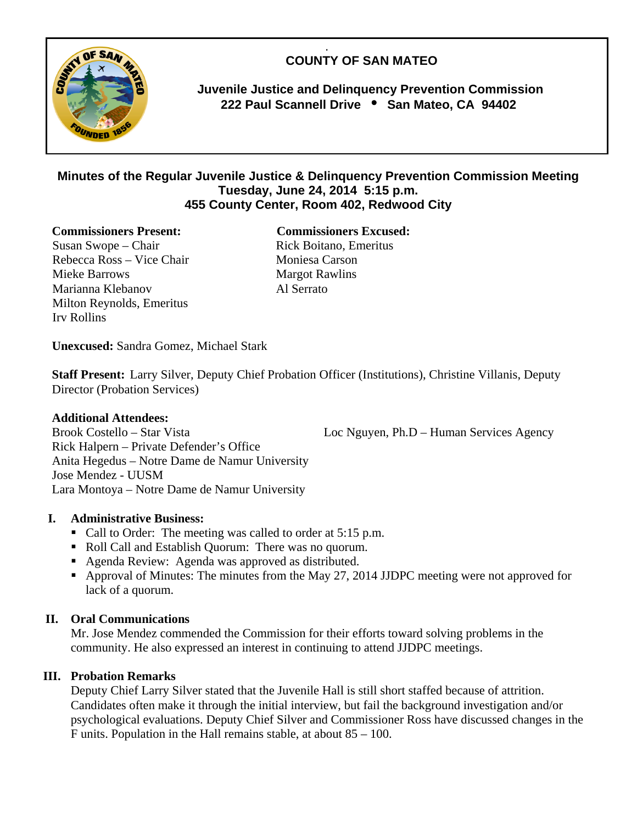.  **COUNTY OF SAN MATEO** 



 **Juvenile Justice and Delinquency Prevention Commission 222 Paul Scannell Drive San Mateo, CA 94402** 

# **Minutes of the Regular Juvenile Justice & Delinquency Prevention Commission Meeting Tuesday, June 24, 2014 5:15 p.m. 455 County Center, Room 402, Redwood City**

#### **Commissioners Present: Commissioners Excused:**

Susan Swope – Chair Rick Boitano, Emeritus Rebecca Ross – Vice Chair Moniesa Carson Mieke Barrows Margot Rawlins Marianna Klebanov Al Serrato Milton Reynolds, Emeritus Irv Rollins

**Unexcused:** Sandra Gomez, Michael Stark

**Staff Present:** Larry Silver, Deputy Chief Probation Officer (Institutions), Christine Villanis, Deputy Director (Probation Services)

#### **Additional Attendees:**

Brook Costello – Star Vista Loc Nguyen, Ph.D – Human Services Agency Rick Halpern – Private Defender's Office Anita Hegedus – Notre Dame de Namur University Jose Mendez - UUSM Lara Montoya – Notre Dame de Namur University

## **I. Administrative Business:**

- Call to Order: The meeting was called to order at 5:15 p.m.
- Roll Call and Establish Quorum: There was no quorum.
- Agenda Review: Agenda was approved as distributed.
- Approval of Minutes: The minutes from the May 27, 2014 JJDPC meeting were not approved for lack of a quorum.

#### **II. Oral Communications**

Mr. Jose Mendez commended the Commission for their efforts toward solving problems in the community. He also expressed an interest in continuing to attend JJDPC meetings.

## **III. Probation Remarks**

Deputy Chief Larry Silver stated that the Juvenile Hall is still short staffed because of attrition. Candidates often make it through the initial interview, but fail the background investigation and/or psychological evaluations. Deputy Chief Silver and Commissioner Ross have discussed changes in the F units. Population in the Hall remains stable, at about 85 – 100.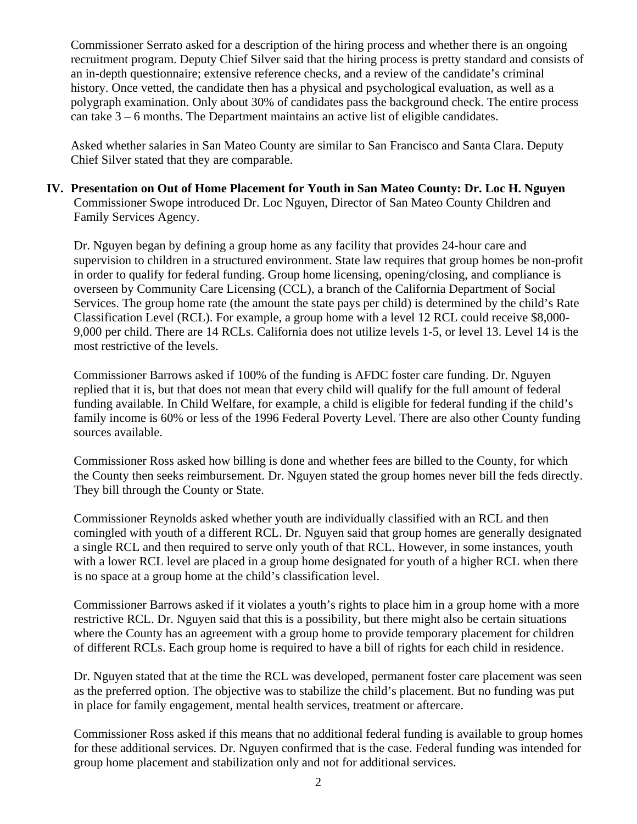Commissioner Serrato asked for a description of the hiring process and whether there is an ongoing recruitment program. Deputy Chief Silver said that the hiring process is pretty standard and consists of an in-depth questionnaire; extensive reference checks, and a review of the candidate's criminal history. Once vetted, the candidate then has a physical and psychological evaluation, as well as a polygraph examination. Only about 30% of candidates pass the background check. The entire process can take  $3 - 6$  months. The Department maintains an active list of eligible candidates.

Asked whether salaries in San Mateo County are similar to San Francisco and Santa Clara. Deputy Chief Silver stated that they are comparable.

**IV. Presentation on Out of Home Placement for Youth in San Mateo County: Dr. Loc H. Nguyen**  Commissioner Swope introduced Dr. Loc Nguyen, Director of San Mateo County Children and Family Services Agency.

Dr. Nguyen began by defining a group home as any facility that provides 24-hour care and supervision to children in a structured environment. State law requires that group homes be non-profit in order to qualify for federal funding. Group home licensing, opening/closing, and compliance is overseen by Community Care Licensing (CCL), a branch of the California Department of Social Services. The group home rate (the amount the state pays per child) is determined by the child's Rate Classification Level (RCL). For example, a group home with a level 12 RCL could receive \$8,000- 9,000 per child. There are 14 RCLs. California does not utilize levels 1-5, or level 13. Level 14 is the most restrictive of the levels.

Commissioner Barrows asked if 100% of the funding is AFDC foster care funding. Dr. Nguyen replied that it is, but that does not mean that every child will qualify for the full amount of federal funding available. In Child Welfare, for example, a child is eligible for federal funding if the child's family income is 60% or less of the 1996 Federal Poverty Level. There are also other County funding sources available.

Commissioner Ross asked how billing is done and whether fees are billed to the County, for which the County then seeks reimbursement. Dr. Nguyen stated the group homes never bill the feds directly. They bill through the County or State.

Commissioner Reynolds asked whether youth are individually classified with an RCL and then comingled with youth of a different RCL. Dr. Nguyen said that group homes are generally designated a single RCL and then required to serve only youth of that RCL. However, in some instances, youth with a lower RCL level are placed in a group home designated for youth of a higher RCL when there is no space at a group home at the child's classification level.

Commissioner Barrows asked if it violates a youth's rights to place him in a group home with a more restrictive RCL. Dr. Nguyen said that this is a possibility, but there might also be certain situations where the County has an agreement with a group home to provide temporary placement for children of different RCLs. Each group home is required to have a bill of rights for each child in residence.

Dr. Nguyen stated that at the time the RCL was developed, permanent foster care placement was seen as the preferred option. The objective was to stabilize the child's placement. But no funding was put in place for family engagement, mental health services, treatment or aftercare.

Commissioner Ross asked if this means that no additional federal funding is available to group homes for these additional services. Dr. Nguyen confirmed that is the case. Federal funding was intended for group home placement and stabilization only and not for additional services.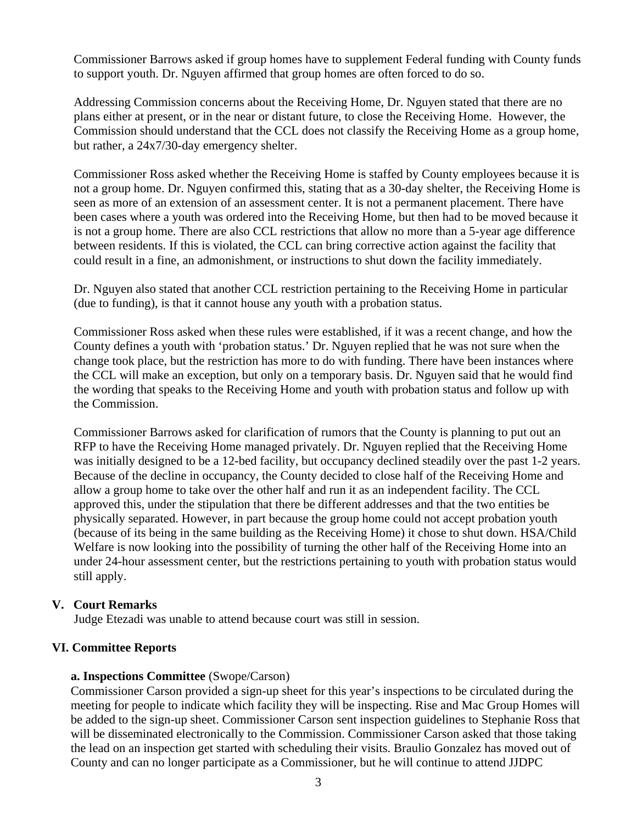Commissioner Barrows asked if group homes have to supplement Federal funding with County funds to support youth. Dr. Nguyen affirmed that group homes are often forced to do so.

Addressing Commission concerns about the Receiving Home, Dr. Nguyen stated that there are no plans either at present, or in the near or distant future, to close the Receiving Home. However, the Commission should understand that the CCL does not classify the Receiving Home as a group home, but rather, a 24x7/30-day emergency shelter.

Commissioner Ross asked whether the Receiving Home is staffed by County employees because it is not a group home. Dr. Nguyen confirmed this, stating that as a 30-day shelter, the Receiving Home is seen as more of an extension of an assessment center. It is not a permanent placement. There have been cases where a youth was ordered into the Receiving Home, but then had to be moved because it is not a group home. There are also CCL restrictions that allow no more than a 5-year age difference between residents. If this is violated, the CCL can bring corrective action against the facility that could result in a fine, an admonishment, or instructions to shut down the facility immediately.

Dr. Nguyen also stated that another CCL restriction pertaining to the Receiving Home in particular (due to funding), is that it cannot house any youth with a probation status.

Commissioner Ross asked when these rules were established, if it was a recent change, and how the County defines a youth with 'probation status.' Dr. Nguyen replied that he was not sure when the change took place, but the restriction has more to do with funding. There have been instances where the CCL will make an exception, but only on a temporary basis. Dr. Nguyen said that he would find the wording that speaks to the Receiving Home and youth with probation status and follow up with the Commission.

Commissioner Barrows asked for clarification of rumors that the County is planning to put out an RFP to have the Receiving Home managed privately. Dr. Nguyen replied that the Receiving Home was initially designed to be a 12-bed facility, but occupancy declined steadily over the past 1-2 years. Because of the decline in occupancy, the County decided to close half of the Receiving Home and allow a group home to take over the other half and run it as an independent facility. The CCL approved this, under the stipulation that there be different addresses and that the two entities be physically separated. However, in part because the group home could not accept probation youth (because of its being in the same building as the Receiving Home) it chose to shut down. HSA/Child Welfare is now looking into the possibility of turning the other half of the Receiving Home into an under 24-hour assessment center, but the restrictions pertaining to youth with probation status would still apply.

## **V. Court Remarks**

Judge Etezadi was unable to attend because court was still in session.

#### **VI. Committee Reports**

#### **a. Inspections Committee** (Swope/Carson)

Commissioner Carson provided a sign-up sheet for this year's inspections to be circulated during the meeting for people to indicate which facility they will be inspecting. Rise and Mac Group Homes will be added to the sign-up sheet. Commissioner Carson sent inspection guidelines to Stephanie Ross that will be disseminated electronically to the Commission. Commissioner Carson asked that those taking the lead on an inspection get started with scheduling their visits. Braulio Gonzalez has moved out of County and can no longer participate as a Commissioner, but he will continue to attend JJDPC